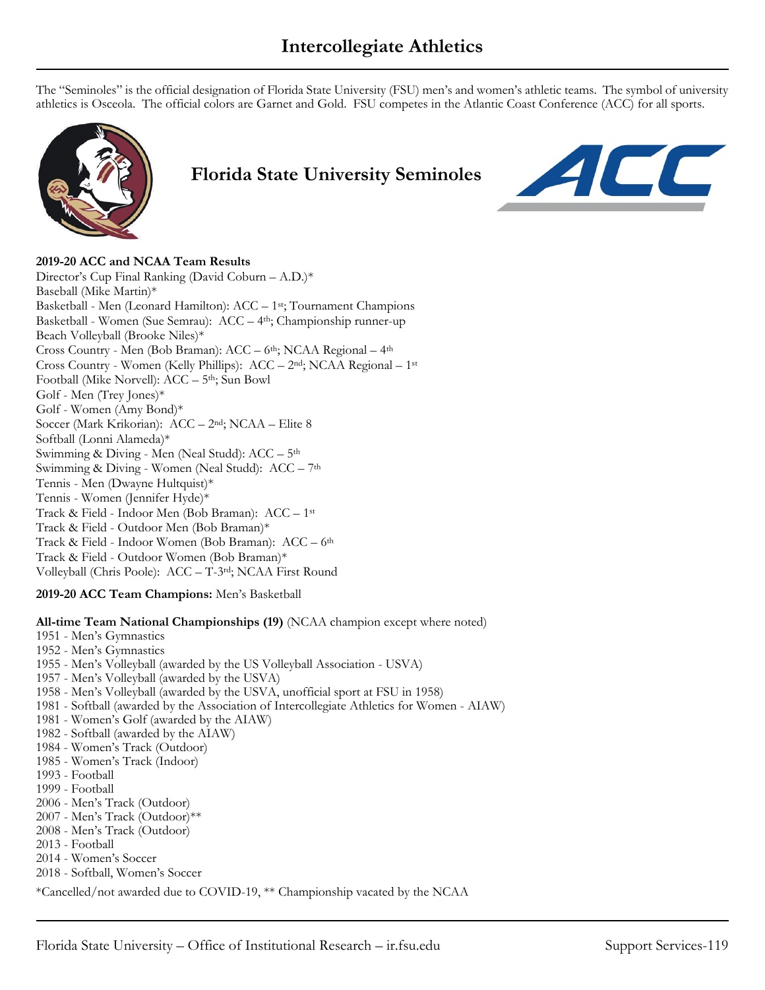The "Seminoles" is the official designation of Florida State University (FSU) men's and women's athletic teams. The symbol of university athletics is Osceola. The official colors are Garnet and Gold. FSU competes in the Atlantic Coast Conference (ACC) for all sports.



# **Florida State University Seminoles**



**2019-20 ACC and NCAA Team Results** Director's Cup Final Ranking (David Coburn – A.D.)\* Baseball (Mike Martin)\* Basketball - Men (Leonard Hamilton): ACC – 1st; Tournament Champions Basketball - Women (Sue Semrau): ACC – 4<sup>th</sup>; Championship runner-up Beach Volleyball (Brooke Niles)\* Cross Country - Men (Bob Braman): ACC – 6th; NCAA Regional – 4th Cross Country - Women (Kelly Phillips): ACC – 2nd; NCAA Regional – 1st Football (Mike Norvell): ACC – 5th; Sun Bowl Golf - Men (Trey Jones)\* Golf - Women (Amy Bond)\* Soccer (Mark Krikorian): ACC – 2nd; NCAA – Elite 8 Softball (Lonni Alameda)\* Swimming & Diving - Men (Neal Studd): ACC – 5th Swimming & Diving - Women (Neal Studd): ACC – 7th Tennis - Men (Dwayne Hultquist)\* Tennis - Women (Jennifer Hyde)\* Track & Field - Indoor Men (Bob Braman): ACC – 1st Track & Field - Outdoor Men (Bob Braman)\* Track & Field - Indoor Women (Bob Braman): ACC – 6th Track & Field - Outdoor Women (Bob Braman)\* Volleyball (Chris Poole): ACC – T-3rd; NCAA First Round

**2019-20 ACC Team Champions:** Men's Basketball

**All-time Team National Championships (19)** (NCAA champion except where noted)

1951 - Men's Gymnastics 1952 - Men's Gymnastics 1955 - Men's Volleyball (awarded by the US Volleyball Association - USVA) 1957 - Men's Volleyball (awarded by the USVA) 1958 - Men's Volleyball (awarded by the USVA, unofficial sport at FSU in 1958) 1981 - Softball (awarded by the Association of Intercollegiate Athletics for Women - AIAW) 1981 - Women's Golf (awarded by the AIAW) 1982 - Softball (awarded by the AIAW) 1984 - Women's Track (Outdoor) 1985 - Women's Track (Indoor) 1993 - Football 1999 - Football 2006 - Men's Track (Outdoor) 2007 - Men's Track (Outdoor)\*\* 2008 - Men's Track (Outdoor) 2013 - Football 2014 - Women's Soccer 2018 - Softball, Women's Soccer

\*Cancelled/not awarded due to COVID-19, \*\* Championship vacated by the NCAA